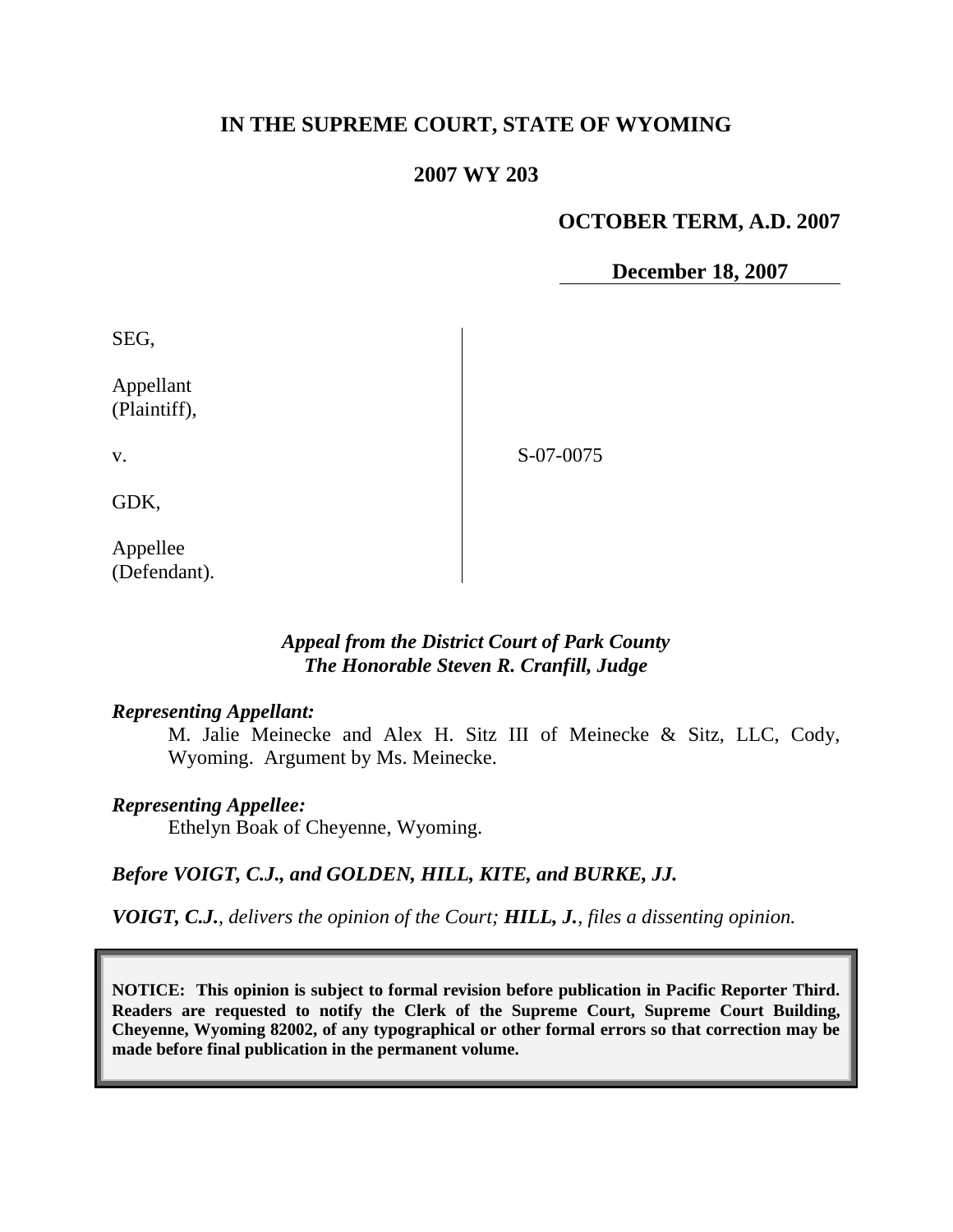# **IN THE SUPREME COURT, STATE OF WYOMING**

## **2007 WY 203**

## **OCTOBER TERM, A.D. 2007**

**December 18, 2007**

SEG, Appellant (Plaintiff), v. GDK, Appellee (Defendant). S-07-0075

## *Appeal from the District Court of Park County The Honorable Steven R. Cranfill, Judge*

### *Representing Appellant:*

M. Jalie Meinecke and Alex H. Sitz III of Meinecke & Sitz, LLC, Cody, Wyoming. Argument by Ms. Meinecke.

### *Representing Appellee:*

Ethelyn Boak of Cheyenne, Wyoming.

#### *Before VOIGT, C.J., and GOLDEN, HILL, KITE, and BURKE, JJ.*

*VOIGT, C.J., delivers the opinion of the Court; HILL, J., files a dissenting opinion.*

**NOTICE: This opinion is subject to formal revision before publication in Pacific Reporter Third. Readers are requested to notify the Clerk of the Supreme Court, Supreme Court Building, Cheyenne, Wyoming 82002, of any typographical or other formal errors so that correction may be made before final publication in the permanent volume.**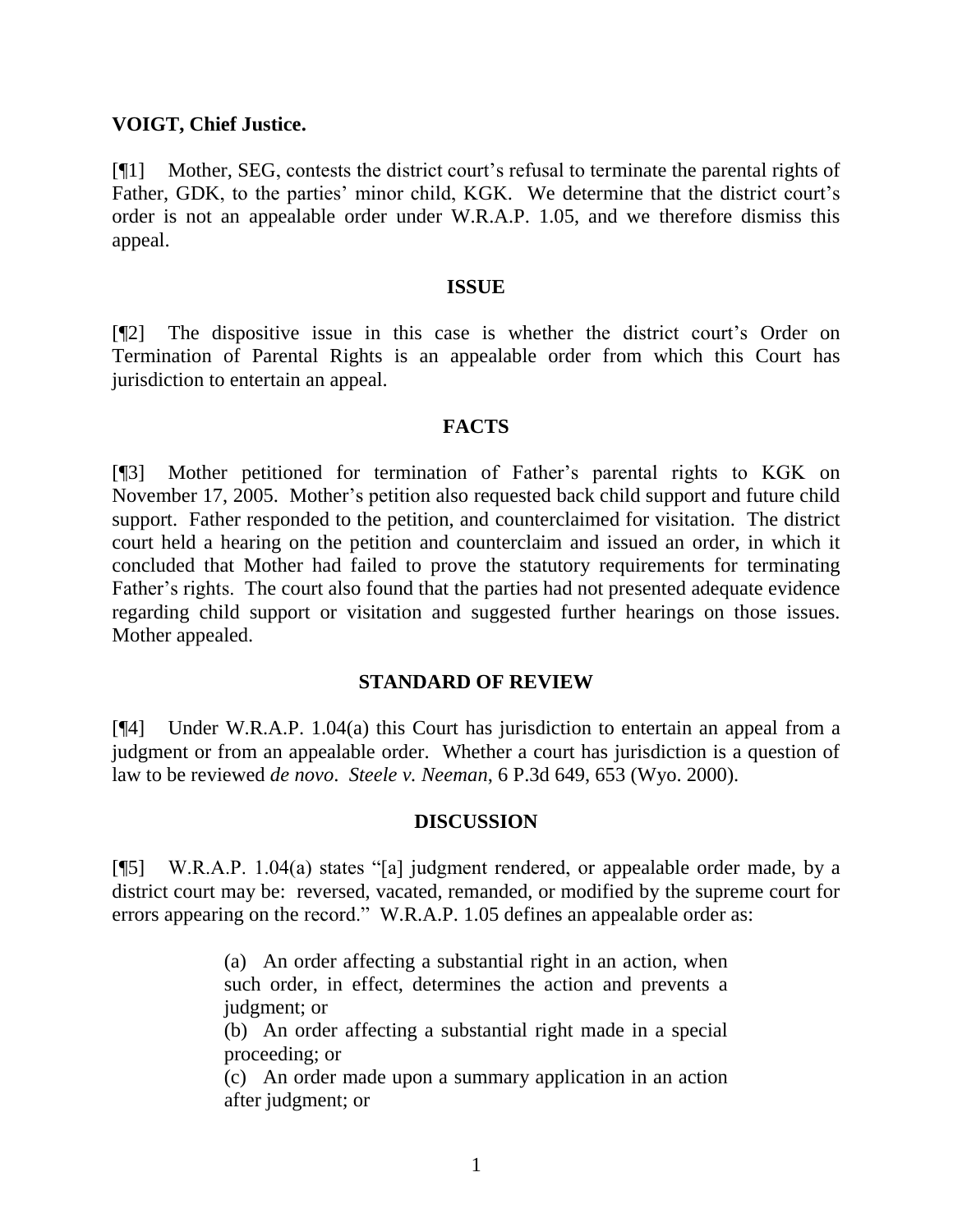### **VOIGT, Chief Justice.**

[¶1] Mother, SEG, contests the district court's refusal to terminate the parental rights of Father, GDK, to the parties' minor child, KGK. We determine that the district court's order is not an appealable order under W.R.A.P. 1.05, and we therefore dismiss this appeal.

#### **ISSUE**

[¶2] The dispositive issue in this case is whether the district court's Order on Termination of Parental Rights is an appealable order from which this Court has jurisdiction to entertain an appeal.

### **FACTS**

[¶3] Mother petitioned for termination of Father's parental rights to KGK on November 17, 2005. Mother's petition also requested back child support and future child support. Father responded to the petition, and counterclaimed for visitation. The district court held a hearing on the petition and counterclaim and issued an order, in which it concluded that Mother had failed to prove the statutory requirements for terminating Father's rights. The court also found that the parties had not presented adequate evidence regarding child support or visitation and suggested further hearings on those issues. Mother appealed.

#### **STANDARD OF REVIEW**

[¶4] Under W.R.A.P. 1.04(a) this Court has jurisdiction to entertain an appeal from a judgment or from an appealable order. Whether a court has jurisdiction is a question of law to be reviewed *de novo*. *Steele v. Neeman*, 6 P.3d 649, 653 (Wyo. 2000).

#### **DISCUSSION**

[¶5] W.R.A.P. 1.04(a) states "[a] judgment rendered, or appealable order made, by a district court may be: reversed, vacated, remanded, or modified by the supreme court for errors appearing on the record." W.R.A.P. 1.05 defines an appealable order as:

> (a) An order affecting a substantial right in an action, when such order, in effect, determines the action and prevents a judgment; or

> (b) An order affecting a substantial right made in a special proceeding; or

> (c) An order made upon a summary application in an action after judgment; or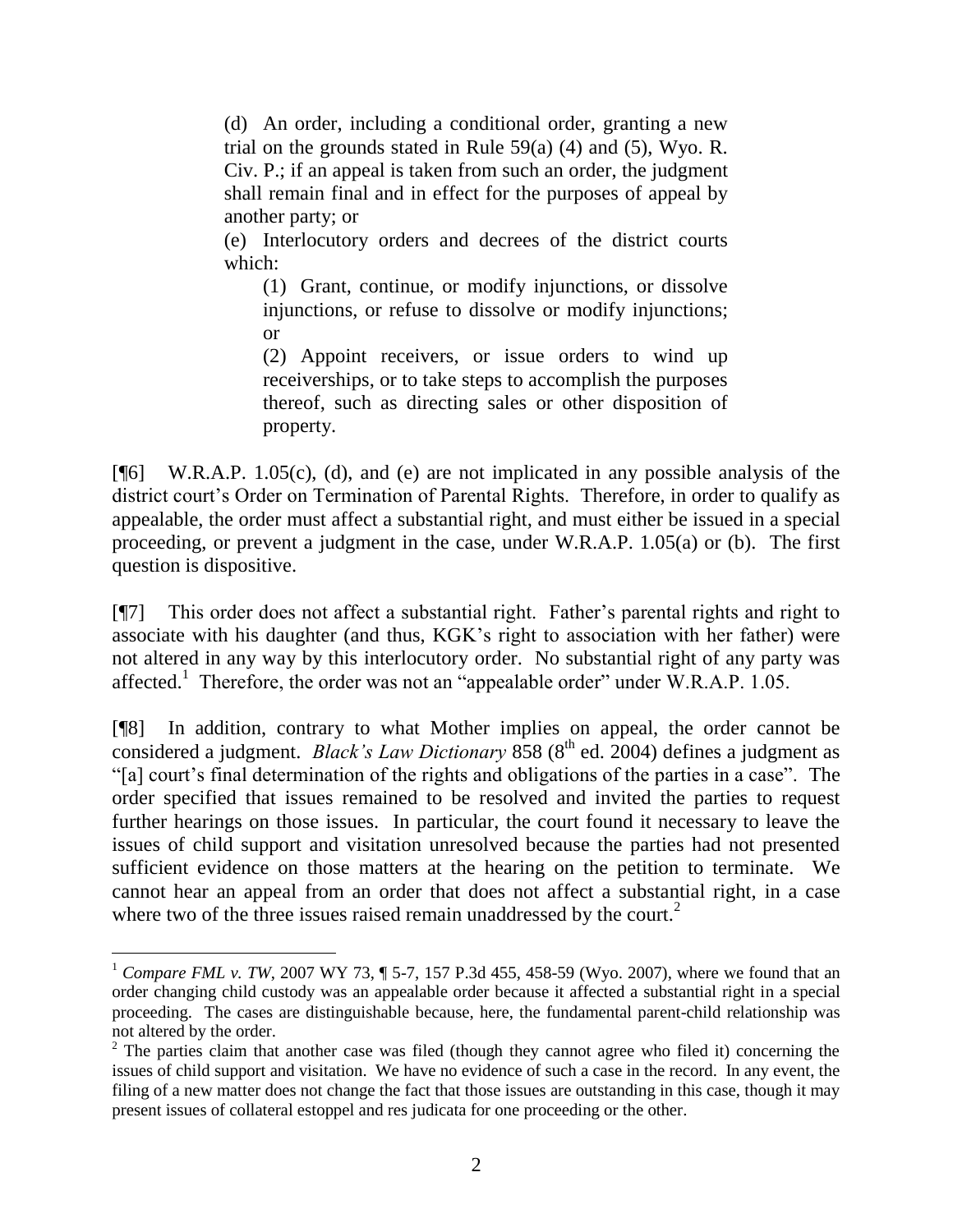(d) An order, including a conditional order, granting a new trial on the grounds stated in Rule  $59(a)$  (4) and (5), Wyo. R. Civ. P.; if an appeal is taken from such an order, the judgment shall remain final and in effect for the purposes of appeal by another party; or

(e) Interlocutory orders and decrees of the district courts which:

(1) Grant, continue, or modify injunctions, or dissolve injunctions, or refuse to dissolve or modify injunctions; or

(2) Appoint receivers, or issue orders to wind up receiverships, or to take steps to accomplish the purposes thereof, such as directing sales or other disposition of property.

 $[$ <del>[</del>[6] W.R.A.P. 1.05(c), (d), and (e) are not implicated in any possible analysis of the district court's Order on Termination of Parental Rights. Therefore, in order to qualify as appealable, the order must affect a substantial right, and must either be issued in a special proceeding, or prevent a judgment in the case, under W.R.A.P. 1.05(a) or (b). The first question is dispositive.

[¶7] This order does not affect a substantial right. Father's parental rights and right to associate with his daughter (and thus, KGK's right to association with her father) were not altered in any way by this interlocutory order. No substantial right of any party was affected.<sup>1</sup> Therefore, the order was not an "appealable order" under W.R.A.P. 1.05.

[¶8] In addition, contrary to what Mother implies on appeal, the order cannot be considered a judgment. *Black's Law Dictionary* 858 (8<sup>th</sup> ed. 2004) defines a judgment as "[a] court's final determination of the rights and obligations of the parties in a case". The order specified that issues remained to be resolved and invited the parties to request further hearings on those issues. In particular, the court found it necessary to leave the issues of child support and visitation unresolved because the parties had not presented sufficient evidence on those matters at the hearing on the petition to terminate. We cannot hear an appeal from an order that does not affect a substantial right, in a case where two of the three issues raised remain unaddressed by the court. $<sup>2</sup>$ </sup>

 $\overline{a}$ 

 $1$  *Compare FML v. TW*, 2007 WY 73, ¶ 5-7, 157 P.3d 455, 458-59 (Wyo. 2007), where we found that an order changing child custody was an appealable order because it affected a substantial right in a special proceeding. The cases are distinguishable because, here, the fundamental parent-child relationship was not altered by the order.

 $2$  The parties claim that another case was filed (though they cannot agree who filed it) concerning the issues of child support and visitation. We have no evidence of such a case in the record. In any event, the filing of a new matter does not change the fact that those issues are outstanding in this case, though it may present issues of collateral estoppel and res judicata for one proceeding or the other.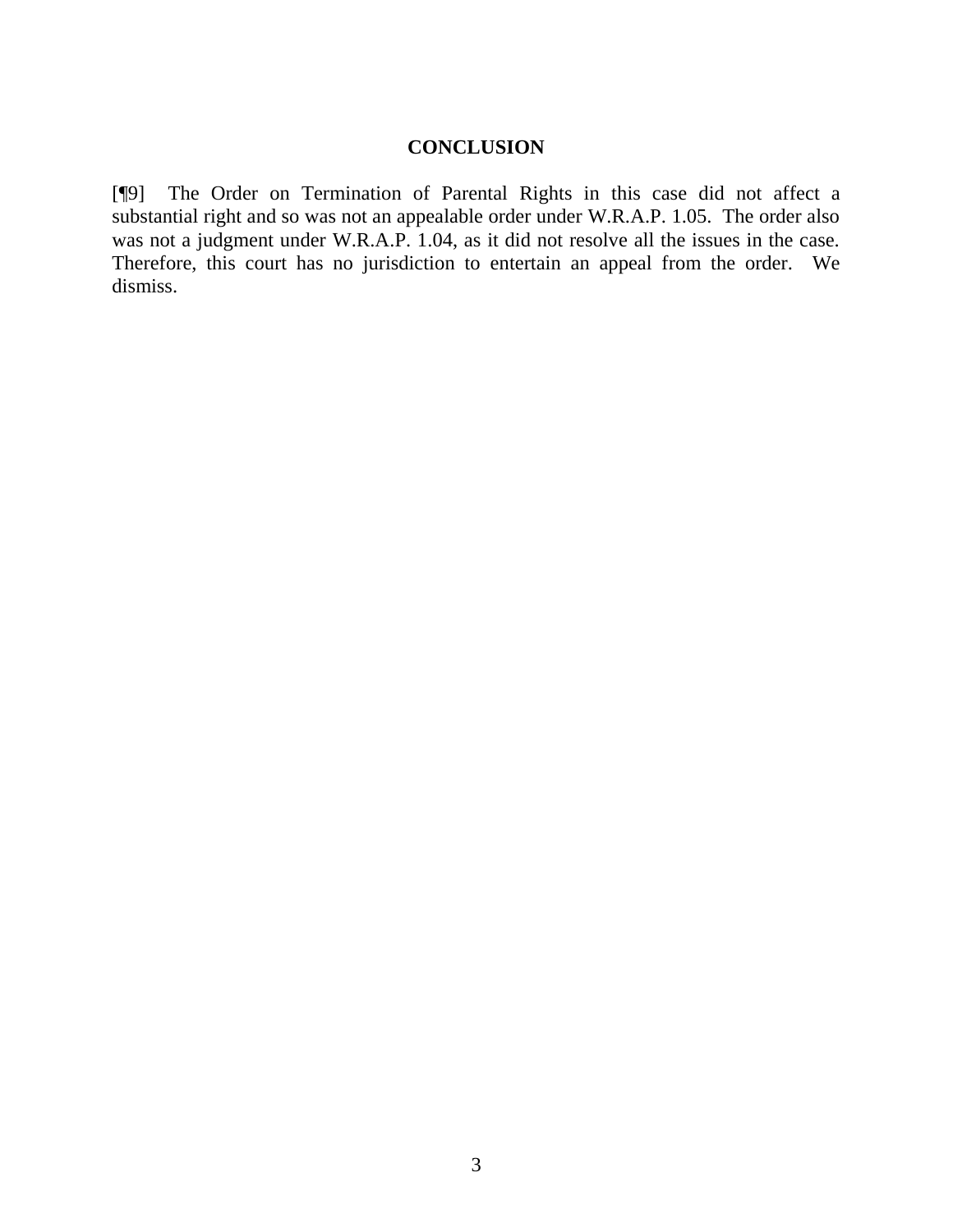### **CONCLUSION**

[¶9] The Order on Termination of Parental Rights in this case did not affect a substantial right and so was not an appealable order under W.R.A.P. 1.05. The order also was not a judgment under W.R.A.P. 1.04, as it did not resolve all the issues in the case. Therefore, this court has no jurisdiction to entertain an appeal from the order. We dismiss.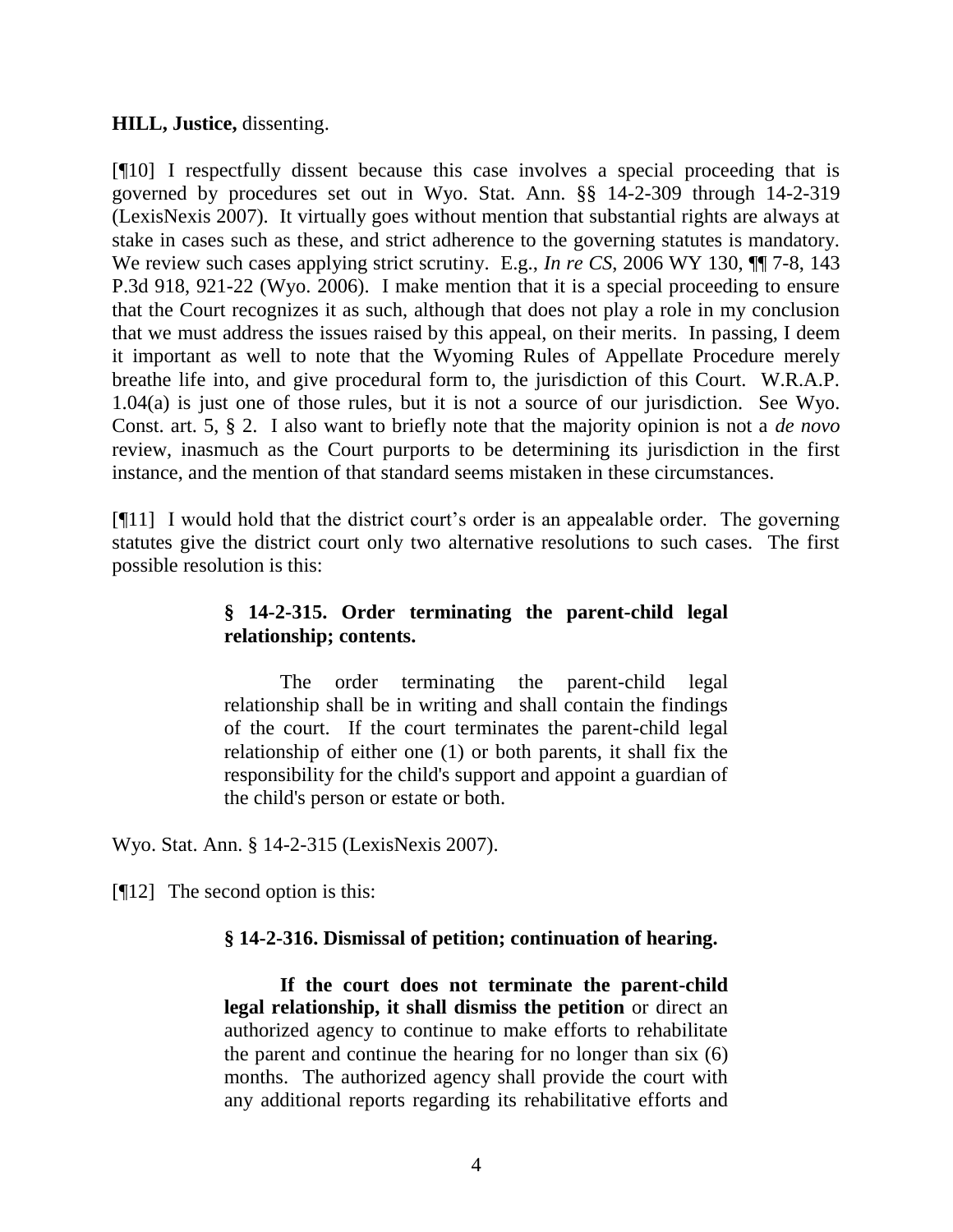### **HILL, Justice,** dissenting.

[¶10] I respectfully dissent because this case involves a special proceeding that is governed by procedures set out in Wyo. Stat. Ann. §§ 14-2-309 through 14-2-319 (LexisNexis 2007). It virtually goes without mention that substantial rights are always at stake in cases such as these, and strict adherence to the governing statutes is mandatory. We review such cases applying strict scrutiny. E.g., *In re CS*, 2006 WY 130,  $\P$  7-8, 143 P.3d 918, 921-22 (Wyo. 2006). I make mention that it is a special proceeding to ensure that the Court recognizes it as such, although that does not play a role in my conclusion that we must address the issues raised by this appeal, on their merits. In passing, I deem it important as well to note that the Wyoming Rules of Appellate Procedure merely breathe life into, and give procedural form to, the jurisdiction of this Court. W.R.A.P. 1.04(a) is just one of those rules, but it is not a source of our jurisdiction. See Wyo. Const. art. 5, § 2. I also want to briefly note that the majority opinion is not a *de novo* review, inasmuch as the Court purports to be determining its jurisdiction in the first instance, and the mention of that standard seems mistaken in these circumstances.

[¶11] I would hold that the district court's order is an appealable order. The governing statutes give the district court only two alternative resolutions to such cases. The first possible resolution is this:

## **§ 14-2-315. Order terminating the parent-child legal relationship; contents.**

The order terminating the parent-child legal relationship shall be in writing and shall contain the findings of the court. If the court terminates the parent-child legal relationship of either one (1) or both parents, it shall fix the responsibility for the child's support and appoint a guardian of the child's person or estate or both.

Wyo. Stat. Ann. § 14-2-315 (LexisNexis 2007).

[¶12] The second option is this:

### **§ 14-2-316. Dismissal of petition; continuation of hearing.**

**If the court does not terminate the parent-child legal relationship, it shall dismiss the petition** or direct an authorized agency to continue to make efforts to rehabilitate the parent and continue the hearing for no longer than six (6) months. The authorized agency shall provide the court with any additional reports regarding its rehabilitative efforts and